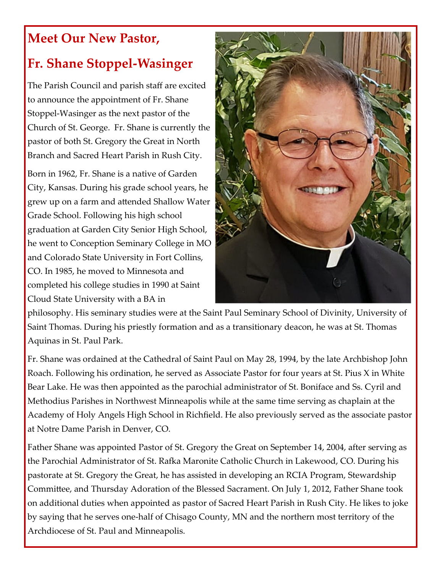## **Meet Our New Pastor,**

## **Fr. Shane Stoppel-Wasinger**

The Parish Council and parish staff are excited to announce the appointment of Fr. Shane Stoppel-Wasinger as the next pastor of the Church of St. George. Fr. Shane is currently the pastor of both St. Gregory the Great in North Branch and Sacred Heart Parish in Rush City.

Born in 1962, Fr. Shane is a native of Garden City, Kansas. During his grade school years, he grew up on a farm and attended Shallow Water Grade School. Following his high school graduation at Garden City Senior High School, he went to Conception Seminary College in MO and Colorado State University in Fort Collins, CO. In 1985, he moved to Minnesota and completed his college studies in 1990 at Saint Cloud State University with a BA in



philosophy. His seminary studies were at the Saint Paul Seminary School of Divinity, University of Saint Thomas. During his priestly formation and as a transitionary deacon, he was at St. Thomas Aquinas in St. Paul Park.

Fr. Shane was ordained at the Cathedral of Saint Paul on May 28, 1994, by the late Archbishop John Roach. Following his ordination, he served as Associate Pastor for four years at St. Pius X in White Bear Lake. He was then appointed as the parochial administrator of St. Boniface and Ss. Cyril and Methodius Parishes in Northwest Minneapolis while at the same time serving as chaplain at the Academy of Holy Angels High School in Richfield. He also previously served as the associate pastor at Notre Dame Parish in Denver, CO.

Father Shane was appointed Pastor of St. Gregory the Great on September 14, 2004, after serving as the Parochial Administrator of St. Rafka Maronite Catholic Church in Lakewood, CO. During his pastorate at St. Gregory the Great, he has assisted in developing an RCIA Program, Stewardship Committee, and Thursday Adoration of the Blessed Sacrament. On July 1, 2012, Father Shane took on additional duties when appointed as pastor of Sacred Heart Parish in Rush City. He likes to joke by saying that he serves one-half of Chisago County, MN and the northern most territory of the Archdiocese of St. Paul and Minneapolis.